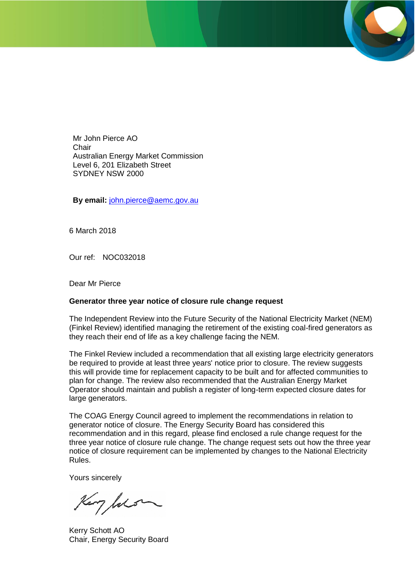Mr John Pierce AO **Chair** Australian Energy Market Commission Level 6, 201 Elizabeth Street SYDNEY NSW 2000

**By email:** [john.pierce@aemc.gov.au](mailto:john.pierce@aemc.gov.au)

6 March 2018

Our ref: NOC032018

Dear Mr Pierce

#### **Generator three year notice of closure rule change request**

The Independent Review into the Future Security of the National Electricity Market (NEM) (Finkel Review) identified managing the retirement of the existing coal-fired generators as they reach their end of life as a key challenge facing the NEM.

The Finkel Review included a recommendation that all existing large electricity generators be required to provide at least three years' notice prior to closure. The review suggests this will provide time for replacement capacity to be built and for affected communities to plan for change. The review also recommended that the Australian Energy Market Operator should maintain and publish a register of long-term expected closure dates for large generators.

The COAG Energy Council agreed to implement the recommendations in relation to generator notice of closure. The Energy Security Board has considered this recommendation and in this regard, please find enclosed a rule change request for the three year notice of closure rule change. The change request sets out how the three year notice of closure requirement can be implemented by changes to the National Electricity Rules.

Yours sincerely

Kery Jols

Kerry Schott AO Chair, Energy Security Board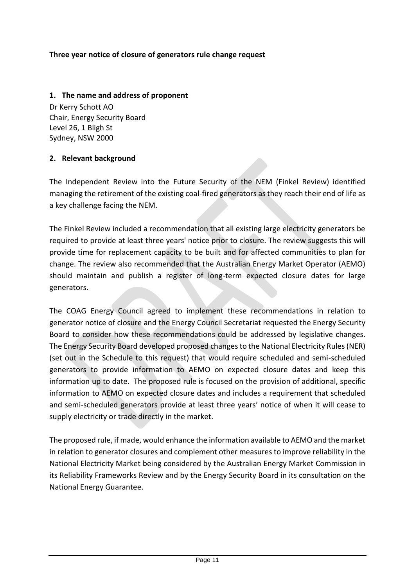# **Three year notice of closure of generators rule change request**

## **1. The name and address of proponent**

Dr Kerry Schott AO Chair, Energy Security Board Level 26, 1 Bligh St Sydney, NSW 2000

# **2. Relevant background**

The Independent Review into the Future Security of the NEM (Finkel Review) identified managing the retirement of the existing coal-fired generators as they reach their end of life as a key challenge facing the NEM.

The Finkel Review included a recommendation that all existing large electricity generators be required to provide at least three years' notice prior to closure. The review suggests this will provide time for replacement capacity to be built and for affected communities to plan for change. The review also recommended that the Australian Energy Market Operator (AEMO) should maintain and publish a register of long-term expected closure dates for large generators.

The COAG Energy Council agreed to implement these recommendations in relation to generator notice of closure and the Energy Council Secretariat requested the Energy Security Board to consider how these recommendations could be addressed by legislative changes. The Energy Security Board developed proposed changes to the National Electricity Rules (NER) (set out in the Schedule to this request) that would require scheduled and semi-scheduled generators to provide information to AEMO on expected closure dates and keep this information up to date. The proposed rule is focused on the provision of additional, specific information to AEMO on expected closure dates and includes a requirement that scheduled and semi-scheduled generators provide at least three years' notice of when it will cease to supply electricity or trade directly in the market.

The proposed rule, if made, would enhance the information available to AEMO and the market in relation to generator closures and complement other measures to improve reliability in the National Electricity Market being considered by the Australian Energy Market Commission in its Reliability Frameworks Review and by the Energy Security Board in its consultation on the National Energy Guarantee.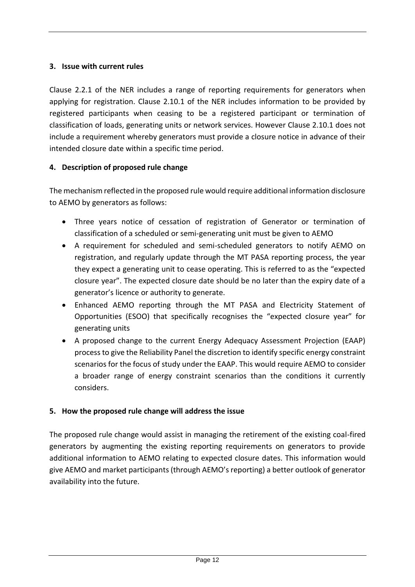# **3. Issue with current rules**

Clause 2.2.1 of the NER includes a range of reporting requirements for generators when applying for registration. Clause 2.10.1 of the NER includes information to be provided by registered participants when ceasing to be a registered participant or termination of classification of loads, generating units or network services. However Clause 2.10.1 does not include a requirement whereby generators must provide a closure notice in advance of their intended closure date within a specific time period.

# **4. Description of proposed rule change**

The mechanism reflected in the proposed rule would require additional information disclosure to AEMO by generators as follows:

- Three years notice of cessation of registration of Generator or termination of classification of a scheduled or semi-generating unit must be given to AEMO
- A requirement for scheduled and semi-scheduled generators to notify AEMO on registration, and regularly update through the MT PASA reporting process, the year they expect a generating unit to cease operating. This is referred to as the "expected closure year". The expected closure date should be no later than the expiry date of a generator's licence or authority to generate.
- Enhanced AEMO reporting through the MT PASA and Electricity Statement of Opportunities (ESOO) that specifically recognises the "expected closure year" for generating units
- A proposed change to the current Energy Adequacy Assessment Projection (EAAP) process to give the Reliability Panel the discretion to identify specific energy constraint scenarios for the focus of study under the EAAP. This would require AEMO to consider a broader range of energy constraint scenarios than the conditions it currently considers.

### **5. How the proposed rule change will address the issue**

The proposed rule change would assist in managing the retirement of the existing coal-fired generators by augmenting the existing reporting requirements on generators to provide additional information to AEMO relating to expected closure dates. This information would give AEMO and market participants (through AEMO's reporting) a better outlook of generator availability into the future.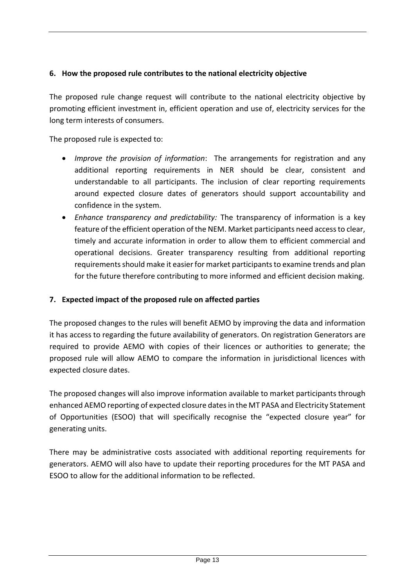# **6. How the proposed rule contributes to the national electricity objective**

The proposed rule change request will contribute to the national electricity objective by promoting efficient investment in, efficient operation and use of, electricity services for the long term interests of consumers.

The proposed rule is expected to:

- *Improve the provision of information*: The arrangements for registration and any additional reporting requirements in NER should be clear, consistent and understandable to all participants. The inclusion of clear reporting requirements around expected closure dates of generators should support accountability and confidence in the system.
- *Enhance transparency and predictability:* The transparency of information is a key feature of the efficient operation of the NEM. Market participants need access to clear, timely and accurate information in order to allow them to efficient commercial and operational decisions. Greater transparency resulting from additional reporting requirements should make it easier for market participants to examine trends and plan for the future therefore contributing to more informed and efficient decision making.

# **7. Expected impact of the proposed rule on affected parties**

The proposed changes to the rules will benefit AEMO by improving the data and information it has access to regarding the future availability of generators. On registration Generators are required to provide AEMO with copies of their licences or authorities to generate; the proposed rule will allow AEMO to compare the information in jurisdictional licences with expected closure dates.

The proposed changes will also improve information available to market participants through enhanced AEMO reporting of expected closure dates in the MT PASA and Electricity Statement of Opportunities (ESOO) that will specifically recognise the "expected closure year" for generating units.

There may be administrative costs associated with additional reporting requirements for generators. AEMO will also have to update their reporting procedures for the MT PASA and ESOO to allow for the additional information to be reflected.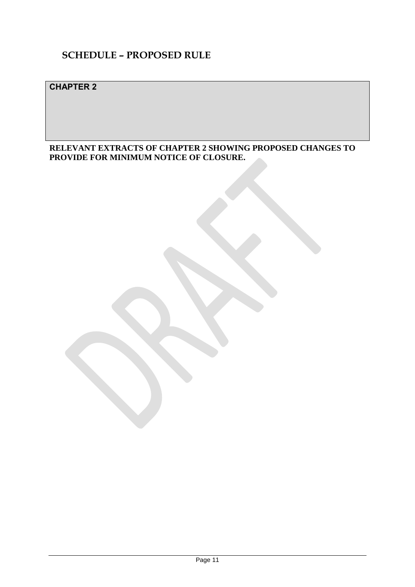# **SCHEDULE – PROPOSED RULE**

# **CHAPTER 2**

**RELEVANT EXTRACTS OF CHAPTER 2 SHOWING PROPOSED CHANGES TO PROVIDE FOR MINIMUM NOTICE OF CLOSURE.**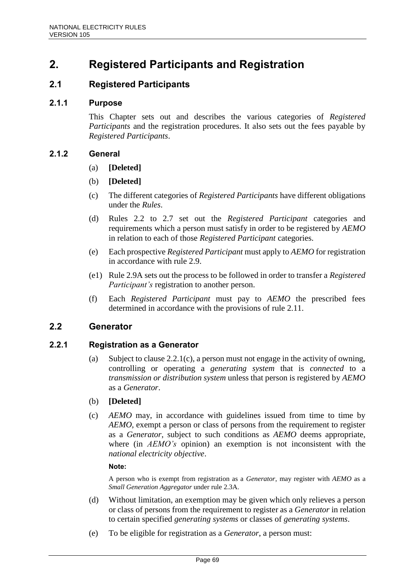# **2. Registered Participants and Registration**

# **2.1 Registered Participants**

### **2.1.1 Purpose**

This Chapter sets out and describes the various categories of *Registered Participants* and the registration procedures. It also sets out the fees payable by *Registered Participants*.

### **2.1.2 General**

- (a) **[Deleted]**
- (b) **[Deleted]**
- (c) The different categories of *Registered Participants* have different obligations under the *Rules*.
- (d) Rules 2.2 to 2.7 set out the *Registered Participant* categories and requirements which a person must satisfy in order to be registered by *AEMO* in relation to each of those *Registered Participant* categories.
- (e) Each prospective *Registered Participant* must apply to *AEMO* for registration in accordance with rule 2.9.
- (e1) Rule 2.9A sets out the process to be followed in order to transfer a *Registered Participant's* registration to another person.
- (f) Each *Registered Participant* must pay to *AEMO* the prescribed fees determined in accordance with the provisions of rule 2.11.

# **2.2 Generator**

### **2.2.1 Registration as a Generator**

- (a) Subject to clause 2.2.1(c), a person must not engage in the activity of owning, controlling or operating a *generating system* that is *connected* to a *transmission or distribution system* unless that person is registered by *AEMO* as a *Generator*.
- (b) **[Deleted]**
- (c) *AEMO* may, in accordance with guidelines issued from time to time by *AEMO*, exempt a person or class of persons from the requirement to register as a *Generator*, subject to such conditions as *AEMO* deems appropriate, where (in *AEMO's* opinion) an exemption is not inconsistent with the *national electricity objective*.

#### **Note:**

A person who is exempt from registration as a *Generator*, may register with *AEMO* as a *Small Generation Aggregator* under rule 2.3A.

- (d) Without limitation, an exemption may be given which only relieves a person or class of persons from the requirement to register as a *Generator* in relation to certain specified *generating systems* or classes of *generating systems*.
- (e) To be eligible for registration as a *Generator*, a person must: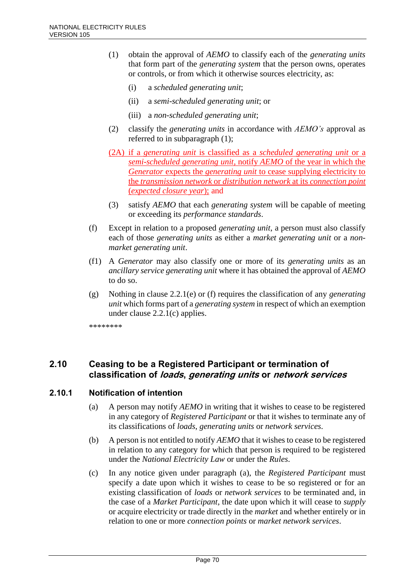- (1) obtain the approval of *AEMO* to classify each of the *generating units* that form part of the *generating system* that the person owns, operates or controls, or from which it otherwise sources electricity, as:
	- (i) a *scheduled generating unit*;
	- (ii) a *semi-scheduled generating unit*; or
	- (iii) a *non-scheduled generating unit*;
- (2) classify the *generating units* in accordance with *AEMO's* approval as referred to in subparagraph (1);
- (2A) if a *generating unit* is classified as a *scheduled generating unit* or a *semi-scheduled generating unit*, notify *AEMO* of the year in which the *Generator* expects the *generating unit* to cease supplying electricity to the *transmission network* or *distribution network* at its *connection point* (*expected closure year*); and
- (3) satisfy *AEMO* that each *generating system* will be capable of meeting or exceeding its *performance standards*.
- (f) Except in relation to a proposed *generating unit*, a person must also classify each of those *generating units* as either a *market generating unit* or a *nonmarket generating unit*.
- (f1) A *Generator* may also classify one or more of its *generating units* as an *ancillary service generating unit* where it has obtained the approval of *AEMO* to do so.
- (g) Nothing in clause 2.2.1(e) or (f) requires the classification of any *generating unit* which forms part of a *generating system* in respect of which an exemption under clause 2.2.1(c) applies.

\*\*\*\*\*\*\*\*

# **2.10 Ceasing to be a Registered Participant or termination of classification of loads, generating units or network services**

# **2.10.1 Notification of intention**

- (a) A person may notify *AEMO* in writing that it wishes to cease to be registered in any category of *Registered Participant* or that it wishes to terminate any of its classifications of *loads*, *generating units* or *network services*.
- (b) A person is not entitled to notify *AEMO* that it wishes to cease to be registered in relation to any category for which that person is required to be registered under the *National Electricity Law* or under the *Rules*.
- (c) In any notice given under paragraph (a), the *Registered Participant* must specify a date upon which it wishes to cease to be so registered or for an existing classification of *loads* or *network services* to be terminated and, in the case of a *Market Participant*, the date upon which it will cease to *supply* or acquire electricity or trade directly in the *market* and whether entirely or in relation to one or more *connection points* or *market network services*.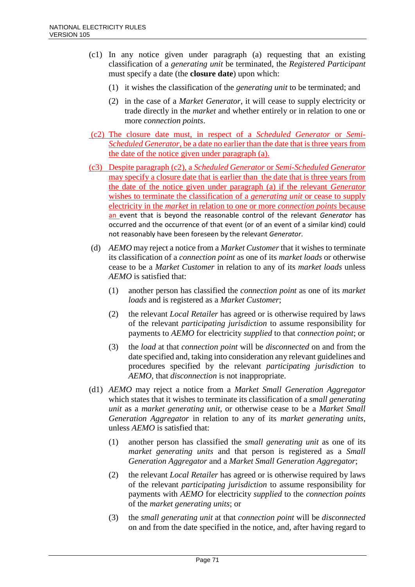- (c1) In any notice given under paragraph (a) requesting that an existing classification of a *generating unit* be terminated, the *Registered Participant* must specify a date (the **closure date**) upon which:
	- (1) it wishes the classification of the *generating unit* to be terminated; and
	- (2) in the case of a *Market Generator*, it will cease to supply electricity or trade directly in the *market* and whether entirely or in relation to one or more *connection points*.
- (c2) The closure date must, in respect of a *Scheduled Generator* or *Semi-Scheduled Generator*, be a date no earlier than the date that is three years from the date of the notice given under paragraph (a).
- (c3) Despite paragraph (c2), a *Scheduled Generator* or *Semi-Scheduled Generator* may specify a closure date that is earlier than the date that is three years from the date of the notice given under paragraph (a) if the relevant *Generator*  wishes to terminate the classification of a *generating unit* or cease to supply electricity in the *market* in relation to one or more *connection points* because an event that is beyond the reasonable control of the relevant *Generator* has occurred and the occurrence of that event (or of an event of a similar kind) could not reasonably have been foreseen by the relevant *Generator*.
- (d) *AEMO* may reject a notice from a *Market Customer* that it wishes to terminate its classification of a *connection point* as one of its *market loads* or otherwise cease to be a *Market Customer* in relation to any of its *market loads* unless *AEMO* is satisfied that:
	- (1) another person has classified the *connection point* as one of its *market loads* and is registered as a *Market Customer*;
	- (2) the relevant *Local Retailer* has agreed or is otherwise required by laws of the relevant *participating jurisdiction* to assume responsibility for payments to *AEMO* for electricity *supplied* to that *connection point*; or
	- (3) the *load* at that *connection point* will be *disconnected* on and from the date specified and, taking into consideration any relevant guidelines and procedures specified by the relevant *participating jurisdiction* to *AEMO*, that *disconnection* is not inappropriate.
- (d1) *AEMO* may reject a notice from a *Market Small Generation Aggregator* which states that it wishes to terminate its classification of a *small generating unit* as a *market generating unit*, or otherwise cease to be a *Market Small Generation Aggregator* in relation to any of its *market generating units*, unless *AEMO* is satisfied that:
	- (1) another person has classified the *small generating unit* as one of its *market generating units* and that person is registered as a *Small Generation Aggregator* and a *Market Small Generation Aggregator*;
	- (2) the relevant *Local Retailer* has agreed or is otherwise required by laws of the relevant *participating jurisdiction* to assume responsibility for payments with *AEMO* for electricity *supplied* to the *connection points* of the *market generating units*; or
	- (3) the *small generating unit* at that *connection point* will be *disconnected* on and from the date specified in the notice, and, after having regard to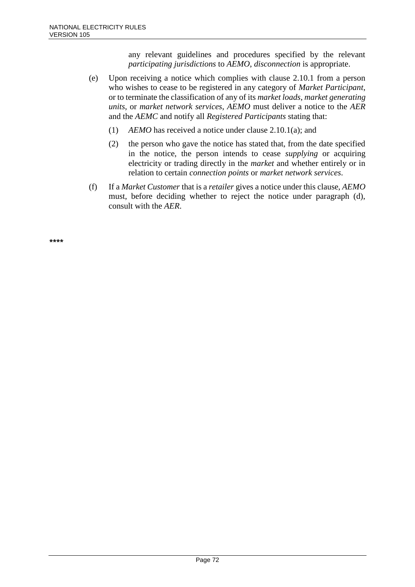any relevant guidelines and procedures specified by the relevant *participating jurisdictions* to *AEMO*, *disconnection* is appropriate.

- (e) Upon receiving a notice which complies with clause 2.10.1 from a person who wishes to cease to be registered in any category of *Market Participant*, or to terminate the classification of any of its *market loads*, *market generating units*, or *market network services*, *AEMO* must deliver a notice to the *AER* and the *AEMC* and notify all *Registered Participants* stating that:
	- (1) *AEMO* has received a notice under clause 2.10.1(a); and
	- (2) the person who gave the notice has stated that, from the date specified in the notice, the person intends to cease *supplying* or acquiring electricity or trading directly in the *market* and whether entirely or in relation to certain *connection points* or *market network services*.
- (f) If a *Market Customer* that is a *retailer* gives a notice under this clause, *AEMO* must, before deciding whether to reject the notice under paragraph (d), consult with the *AER*.

**\*\*\*\***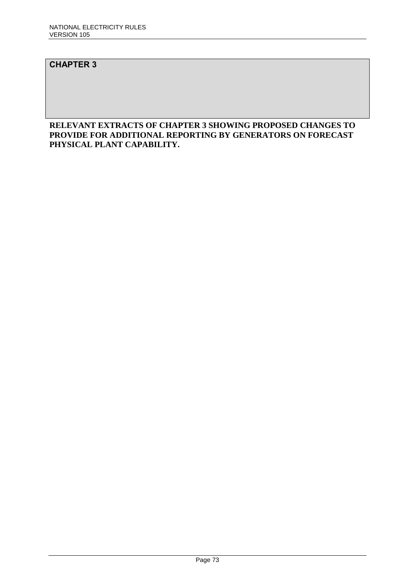# **CHAPTER 3**

### **RELEVANT EXTRACTS OF CHAPTER 3 SHOWING PROPOSED CHANGES TO PROVIDE FOR ADDITIONAL REPORTING BY GENERATORS ON FORECAST PHYSICAL PLANT CAPABILITY.**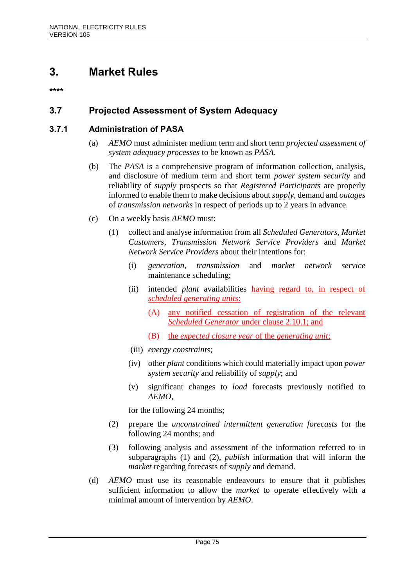# **3. Market Rules**

**\*\*\*\***

# **3.7 Projected Assessment of System Adequacy**

# **3.7.1 Administration of PASA**

- (a) *AEMO* must administer medium term and short term *projected assessment of system adequacy processes* to be known as *PASA*.
- (b) The *PASA* is a comprehensive program of information collection, analysis, and disclosure of medium term and short term *power system security* and reliability of *supply* prospects so that *Registered Participants* are properly informed to enable them to make decisions about *supply*, demand and *outages* of *transmission networks* in respect of periods up to 2 years in advance.
- (c) On a weekly basis *AEMO* must:
	- (1) collect and analyse information from all *Scheduled Generators*, *Market Customers*, *Transmission Network Service Providers* and *Market Network Service Providers* about their intentions for:
		- (i) *generation*, *transmission* and *market network service* maintenance scheduling;
		- (ii) intended *plant* availabilities having regard to, in respect of *scheduled generating units*:
			- (A) any notified cessation of registration of the relevant *Scheduled Generator* under clause 2.10.1; and
			- (B) the *expected closure year* of the *generating unit*;
		- (iii) *energy constraints*;
		- (iv) other *plant* conditions which could materially impact upon *power system security* and reliability of *supply*; and
		- (v) significant changes to *load* forecasts previously notified to *AEMO*,

for the following 24 months;

- (2) prepare the *unconstrained intermittent generation forecasts* for the following 24 months; and
- (3) following analysis and assessment of the information referred to in subparagraphs (1) and (2), *publish* information that will inform the *market* regarding forecasts of *supply* and demand.
- (d) *AEMO* must use its reasonable endeavours to ensure that it publishes sufficient information to allow the *market* to operate effectively with a minimal amount of intervention by *AEMO*.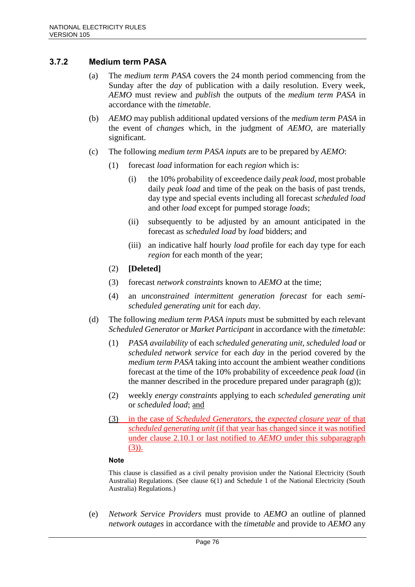# **3.7.2 Medium term PASA**

- (a) The *medium term PASA* covers the 24 month period commencing from the Sunday after the *day* of publication with a daily resolution. Every week, *AEMO* must review and *publish* the outputs of the *medium term PASA* in accordance with the *timetable*.
- (b) *AEMO* may publish additional updated versions of the *medium term PASA* in the event of *changes* which, in the judgment of *AEMO*, are materially significant.
- (c) The following *medium term PASA inputs* are to be prepared by *AEMO*:
	- (1) forecast *load* information for each *region* which is:
		- (i) the 10% probability of exceedence daily *peak load*, most probable daily *peak load* and time of the peak on the basis of past trends, day type and special events including all forecast *scheduled load* and other *load* except for pumped storage *loads*;
		- (ii) subsequently to be adjusted by an amount anticipated in the forecast as *scheduled load* by *load* bidders; and
		- (iii) an indicative half hourly *load* profile for each day type for each *region* for each month of the year;
	- (2) **[Deleted]**
	- (3) forecast *network constraints* known to *AEMO* at the time;
	- (4) an *unconstrained intermittent generation forecast* for each *semischeduled generating unit* for each *day*.
- (d) The following *medium term PASA inputs* must be submitted by each relevant *Scheduled Generator* or *Market Participant* in accordance with the *timetable*:
	- (1) *PASA availability* of each *scheduled generating unit*, *scheduled load* or *scheduled network service* for each *day* in the period covered by the *medium term PASA* taking into account the ambient weather conditions forecast at the time of the 10% probability of exceedence *peak load* (in the manner described in the procedure prepared under paragraph (g));
	- (2) weekly *energy constraints* applying to each *scheduled generating unit* or *scheduled load*; and
	- (3) in the case of *Scheduled Generators*, the *expected closure year* of that *scheduled generating unit* (if that year has changed since it was notified under clause 2.10.1 or last notified to *AEMO* under this subparagraph (3)).

#### **Note**

This clause is classified as a civil penalty provision under the National Electricity (South Australia) Regulations. (See clause 6(1) and Schedule 1 of the National Electricity (South Australia) Regulations.)

(e) *Network Service Providers* must provide to *AEMO* an outline of planned *network outages* in accordance with the *timetable* and provide to *AEMO* any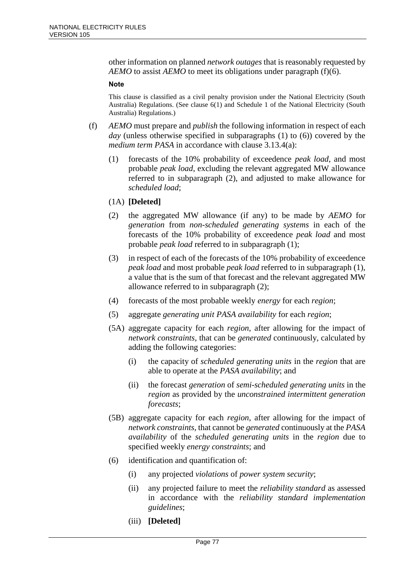other information on planned *network outages* that is reasonably requested by *AEMO* to assist *AEMO* to meet its obligations under paragraph (f)(6).

#### **Note**

This clause is classified as a civil penalty provision under the National Electricity (South Australia) Regulations. (See clause 6(1) and Schedule 1 of the National Electricity (South Australia) Regulations.)

- (f) *AEMO* must prepare and *publish* the following information in respect of each *day* (unless otherwise specified in subparagraphs (1) to (6)) covered by the *medium term PASA* in accordance with clause 3.13.4(a):
	- (1) forecasts of the 10% probability of exceedence *peak load*, and most probable *peak load*, excluding the relevant aggregated MW allowance referred to in subparagraph (2), and adjusted to make allowance for *scheduled load*;
	- (1A) **[Deleted]**
	- (2) the aggregated MW allowance (if any) to be made by *AEMO* for *generation* from *non-scheduled generating systems* in each of the forecasts of the 10% probability of exceedence *peak load* and most probable *peak load* referred to in subparagraph (1);
	- (3) in respect of each of the forecasts of the 10% probability of exceedence *peak load* and most probable *peak load* referred to in subparagraph (1), a value that is the sum of that forecast and the relevant aggregated MW allowance referred to in subparagraph (2);
	- (4) forecasts of the most probable weekly *energy* for each *region*;
	- (5) aggregate *generating unit PASA availability* for each *region*;
	- (5A) aggregate capacity for each *region*, after allowing for the impact of *network constraints*, that can be *generated* continuously, calculated by adding the following categories:
		- (i) the capacity of *scheduled generating units* in the *region* that are able to operate at the *PASA availability*; and
		- (ii) the forecast *generation* of *semi-scheduled generating units* in the *region* as provided by the *unconstrained intermittent generation forecasts*;
	- (5B) aggregate capacity for each *region*, after allowing for the impact of *network constraints*, that cannot be *generated* continuously at the *PASA availability* of the *scheduled generating units* in the *region* due to specified weekly *energy constraints*; and
	- (6) identification and quantification of:
		- (i) any projected *violations* of *power system security*;
		- (ii) any projected failure to meet the *reliability standard* as assessed in accordance with the *reliability standard implementation guidelines*;
		- (iii) **[Deleted]**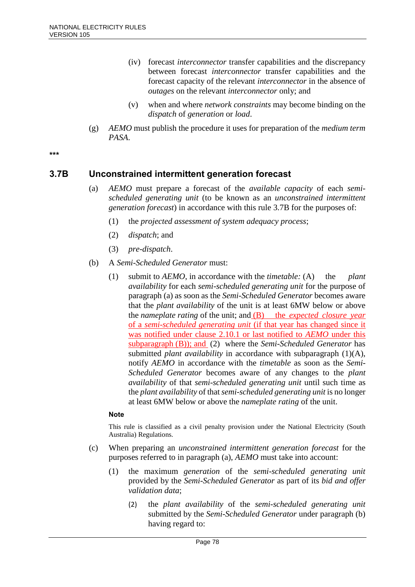- (iv) forecast *interconnector* transfer capabilities and the discrepancy between forecast *interconnector* transfer capabilities and the forecast capacity of the relevant *interconnector* in the absence of *outages* on the relevant *interconnector* only; and
- (v) when and where *network constraints* may become binding on the *dispatch* of *generation* or *load*.
- (g) *AEMO* must publish the procedure it uses for preparation of the *medium term PASA*.

**\*\*\***

# **3.7B Unconstrained intermittent generation forecast**

- (a) *AEMO* must prepare a forecast of the *available capacity* of each *semischeduled generating unit* (to be known as an *unconstrained intermittent generation forecast*) in accordance with this rule 3.7B for the purposes of:
	- (1) the *projected assessment of system adequacy process*;
	- (2) *dispatch*; and
	- (3) *pre-dispatch*.
- (b) A *Semi-Scheduled Generator* must:
	- (1) submit to *AEMO*, in accordance with the *timetable:* (A) the *plant availability* for each *semi-scheduled generating unit* for the purpose of paragraph (a) as soon as the *Semi-Scheduled Generator* becomes aware that the *plant availability* of the unit is at least 6MW below or above the *nameplate rating* of the unit; and (B) the *expected closure year* of a *semi-scheduled generating unit* (if that year has changed since it was notified under clause 2.10.1 or last notified to *AEMO* under this subparagraph (B)); and (2) where the *Semi-Scheduled Generator* has submitted *plant availability* in accordance with subparagraph (1)(A), notify *AEMO* in accordance with the *timetable* as soon as the *Semi-Scheduled Generator* becomes aware of any changes to the *plant availability* of that *semi-scheduled generating unit* until such time as the *plant availability* of that *semi-scheduled generating unit* is no longer at least 6MW below or above the *nameplate rating* of the unit.

#### **Note**

This rule is classified as a civil penalty provision under the National Electricity (South Australia) Regulations.

- (c) When preparing an *unconstrained intermittent generation forecast* for the purposes referred to in paragraph (a), *AEMO* must take into account:
	- (1) the maximum *generation* of the *semi-scheduled generating unit* provided by the *Semi-Scheduled Generator* as part of its *bid and offer validation data*;
		- (2) the *plant availability* of the *semi-scheduled generating unit* submitted by the *Semi-Scheduled Generator* under paragraph (b) having regard to: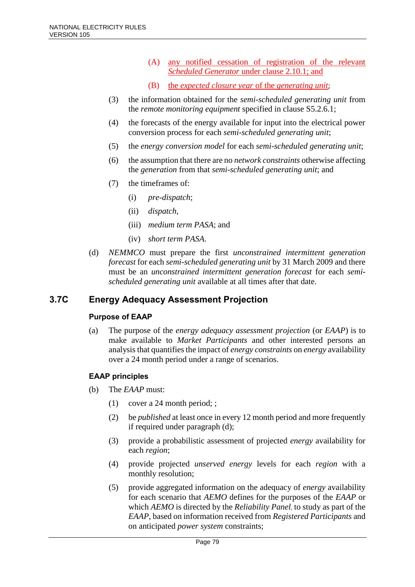- (A) any notified cessation of registration of the relevant *Scheduled Generator* under clause 2.10.1; and
- (B) the *expected closure year* of the *generating unit*;
- (3) the information obtained for the *semi-scheduled generating unit* from the *remote monitoring equipment* specified in clause S5.2.6.1;
- (4) the forecasts of the energy available for input into the electrical power conversion process for each *semi-scheduled generating unit*;
- (5) the *energy conversion model* for each *semi-scheduled generating unit*;
- (6) the assumption that there are no *network constraints* otherwise affecting the *generation* from that *semi-scheduled generating unit*; and
- (7) the timeframes of:
	- (i) *pre-dispatch*;
	- (ii) *dispatch*,
	- (iii) *medium term PASA*; and
	- (iv) *short term PASA*.
- (d) *NEMMCO* must prepare the first *unconstrained intermittent generation forecast* for each *semi-scheduled generating unit* by 31 March 2009 and there must be an *unconstrained intermittent generation forecast* for each *semischeduled generating unit* available at all times after that date.

# **3.7C Energy Adequacy Assessment Projection**

### **Purpose of EAAP**

(a) The purpose of the *energy adequacy assessment projection* (or *EAAP*) is to make available to *Market Participants* and other interested persons an analysis that quantifies the impact of *energy constraints* on *energy* availability over a 24 month period under a range of scenarios.

### **EAAP principles**

- (b) The *EAAP* must:
	- (1) cover a 24 month period; ;
	- (2) be *published* at least once in every 12 month period and more frequently if required under paragraph (d);
	- (3) provide a probabilistic assessment of projected *energy* availability for each *region*;
	- (4) provide projected *unserved energy* levels for each *region* with a monthly resolution;
	- (5) provide aggregated information on the adequacy of *energy* availability for each scenario that *AEMO* defines for the purposes of the *EAAP* or which *AEMO* is directed by the *Reliability Panel*, to study as part of the *EAAP*, based on information received from *Registered Participants* and on anticipated *power system* constraints;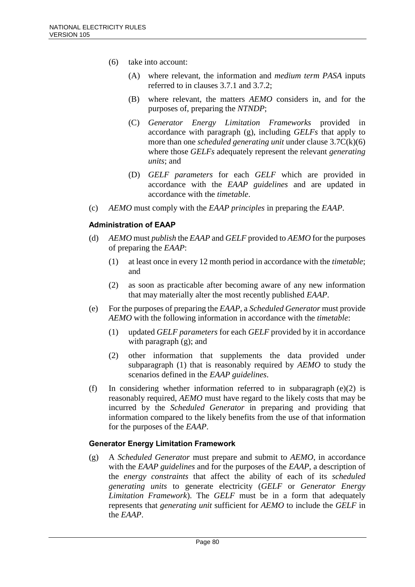- (6) take into account:
	- (A) where relevant, the information and *medium term PASA* inputs referred to in clauses 3.7.1 and 3.7.2;
	- (B) where relevant, the matters *AEMO* considers in, and for the purposes of, preparing the *NTNDP*;
	- (C) *Generator Energy Limitation Frameworks* provided in accordance with paragraph (g), including *GELFs* that apply to more than one *scheduled generating unit* under clause 3.7C(k)(6) where those *GELFs* adequately represent the relevant *generating units*; and
	- (D) *GELF parameters* for each *GELF* which are provided in accordance with the *EAAP guidelines* and are updated in accordance with the *timetable*.
- (c) *AEMO* must comply with the *EAAP principles* in preparing the *EAAP*.

### **Administration of EAAP**

- (d) *AEMO* must *publish* the *EAAP* and *GELF* provided to *AEMO* for the purposes of preparing the *EAAP*:
	- (1) at least once in every 12 month period in accordance with the *timetable*; and
	- (2) as soon as practicable after becoming aware of any new information that may materially alter the most recently published *EAAP*.
- (e) For the purposes of preparing the *EAAP*, a *Scheduled Generator* must provide *AEMO* with the following information in accordance with the *timetable*:
	- (1) updated *GELF parameters* for each *GELF* provided by it in accordance with paragraph (g); and
	- (2) other information that supplements the data provided under subparagraph (1) that is reasonably required by *AEMO* to study the scenarios defined in the *EAAP guidelines*.
- (f) In considering whether information referred to in subparagraph (e)(2) is reasonably required, *AEMO* must have regard to the likely costs that may be incurred by the *Scheduled Generator* in preparing and providing that information compared to the likely benefits from the use of that information for the purposes of the *EAAP*.

### **Generator Energy Limitation Framework**

(g) A *Scheduled Generator* must prepare and submit to *AEMO*, in accordance with the *EAAP guidelines* and for the purposes of the *EAAP*, a description of the *energy constraints* that affect the ability of each of its *scheduled generating units* to generate electricity (*GELF* or *Generator Energy Limitation Framework*). The *GELF* must be in a form that adequately represents that *generating unit* sufficient for *AEMO* to include the *GELF* in the *EAAP*.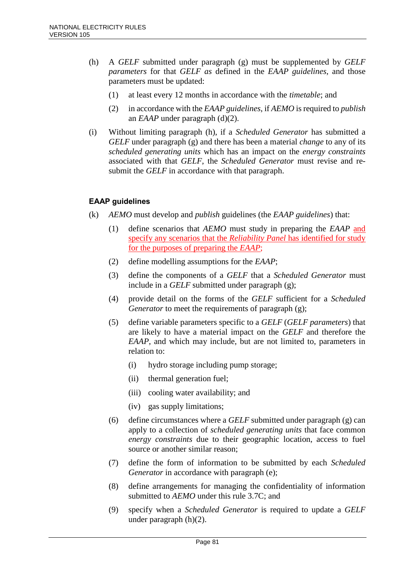- (h) A *GELF* submitted under paragraph (g) must be supplemented by *GELF parameters* for that *GELF as* defined in the *EAAP guidelines*, and those parameters must be updated:
	- (1) at least every 12 months in accordance with the *timetable*; and
	- (2) in accordance with the *EAAP guidelines*, if *AEMO* is required to *publish* an *EAAP* under paragraph (d)(2).
- (i) Without limiting paragraph (h), if a *Scheduled Generator* has submitted a *GELF* under paragraph (g) and there has been a material *change* to any of its *scheduled generating units* which has an impact on the *energy constraints* associated with that *GELF*, the *Scheduled Generator* must revise and resubmit the *GELF* in accordance with that paragraph.

# **EAAP guidelines**

- (k) *AEMO* must develop and *publish* guidelines (the *EAAP guidelines*) that:
	- (1) define scenarios that *AEMO* must study in preparing the *EAAP* and specify any scenarios that the *Reliability Panel* has identified for study for the purposes of preparing the *EAAP*;
	- (2) define modelling assumptions for the *EAAP*;
	- (3) define the components of a *GELF* that a *Scheduled Generator* must include in a *GELF* submitted under paragraph (g);
	- (4) provide detail on the forms of the *GELF* sufficient for a *Scheduled Generator* to meet the requirements of paragraph (g);
	- (5) define variable parameters specific to a *GELF* (*GELF parameters*) that are likely to have a material impact on the *GELF* and therefore the *EAAP*, and which may include, but are not limited to, parameters in relation to:
		- (i) hydro storage including pump storage;
		- (ii) thermal generation fuel;
		- (iii) cooling water availability; and
		- (iv) gas supply limitations;
	- (6) define circumstances where a *GELF* submitted under paragraph (g) can apply to a collection of *scheduled generating units* that face common *energy constraints* due to their geographic location, access to fuel source or another similar reason;
	- (7) define the form of information to be submitted by each *Scheduled Generator* in accordance with paragraph (e);
	- (8) define arrangements for managing the confidentiality of information submitted to *AEMO* under this rule 3.7C; and
	- (9) specify when a *Scheduled Generator* is required to update a *GELF* under paragraph (h)(2).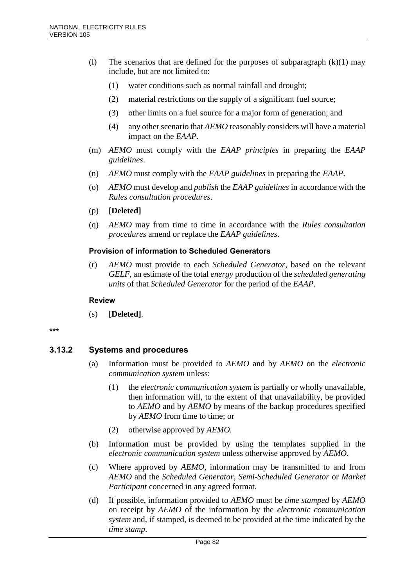- (1) The scenarios that are defined for the purposes of subparagraph  $(k)(1)$  may include, but are not limited to:
	- (1) water conditions such as normal rainfall and drought;
	- (2) material restrictions on the supply of a significant fuel source;
	- (3) other limits on a fuel source for a major form of generation; and
	- (4) any other scenario that *AEMO* reasonably considers will have a material impact on the *EAAP*.
- (m) *AEMO* must comply with the *EAAP principles* in preparing the *EAAP guidelines*.
- (n) *AEMO* must comply with the *EAAP guidelines* in preparing the *EAAP*.
- (o) *AEMO* must develop and *publish* the *EAAP guidelines* in accordance with the *Rules consultation procedures*.
- (p) **[Deleted]**
- (q) *AEMO* may from time to time in accordance with the *Rules consultation procedures* amend or replace the *EAAP guidelines*.

### **Provision of information to Scheduled Generators**

(r) *AEMO* must provide to each *Scheduled Generator*, based on the relevant *GELF*, an estimate of the total *energy* production of the *scheduled generating units* of that *Scheduled Generator* for the period of the *EAAP*.

#### **Review**

(s) **[Deleted]**.

#### **\*\*\***

# **3.13.2 Systems and procedures**

- (a) Information must be provided to *AEMO* and by *AEMO* on the *electronic communication system* unless:
	- (1) the *electronic communication system* is partially or wholly unavailable, then information will, to the extent of that unavailability, be provided to *AEMO* and by *AEMO* by means of the backup procedures specified by *AEMO* from time to time; or
	- (2) otherwise approved by *AEMO*.
- (b) Information must be provided by using the templates supplied in the *electronic communication system* unless otherwise approved by *AEMO*.
- (c) Where approved by *AEMO*, information may be transmitted to and from *AEMO* and the *Scheduled Generator*, *Semi-Scheduled Generator* or *Market Participant* concerned in any agreed format.
- (d) If possible, information provided to *AEMO* must be *time stamped* by *AEMO* on receipt by *AEMO* of the information by the *electronic communication system* and, if stamped, is deemed to be provided at the time indicated by the *time stamp*.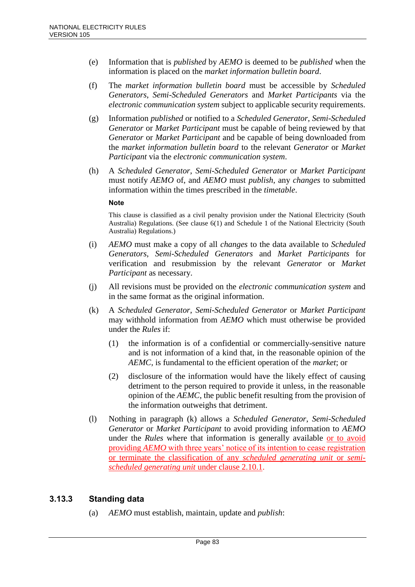- (e) Information that is *published* by *AEMO* is deemed to be *published* when the information is placed on the *market information bulletin board*.
- (f) The *market information bulletin board* must be accessible by *Scheduled Generators*, *Semi-Scheduled Generators* and *Market Participants* via the *electronic communication system* subject to applicable security requirements.
- (g) Information *published* or notified to a *Scheduled Generator*, *Semi-Scheduled Generator* or *Market Participant* must be capable of being reviewed by that *Generator* or *Market Participant* and be capable of being downloaded from the *market information bulletin board* to the relevant *Generator* or *Market Participant* via the *electronic communication system*.
- (h) A *Scheduled Generator*, *Semi-Scheduled Generator* or *Market Participant* must notify *AEMO* of, and *AEMO* must *publish*, any *changes* to submitted information within the times prescribed in the *timetable*.

#### **Note**

This clause is classified as a civil penalty provision under the National Electricity (South Australia) Regulations. (See clause 6(1) and Schedule 1 of the National Electricity (South Australia) Regulations.)

- (i) *AEMO* must make a copy of all *changes* to the data available to *Scheduled Generators*, *Semi-Scheduled Generators* and *Market Participants* for verification and resubmission by the relevant *Generator* or *Market Participant* as necessary.
- (j) All revisions must be provided on the *electronic communication system* and in the same format as the original information.
- (k) A *Scheduled Generator*, *Semi-Scheduled Generator* or *Market Participant* may withhold information from *AEMO* which must otherwise be provided under the *Rules* if:
	- (1) the information is of a confidential or commercially-sensitive nature and is not information of a kind that, in the reasonable opinion of the *AEMC*, is fundamental to the efficient operation of the *market*; or
	- (2) disclosure of the information would have the likely effect of causing detriment to the person required to provide it unless, in the reasonable opinion of the *AEMC*, the public benefit resulting from the provision of the information outweighs that detriment.
- (l) Nothing in paragraph (k) allows a *Scheduled Generator*, *Semi-Scheduled Generator* or *Market Participant* to avoid providing information to *AEMO* under the *Rules* where that information is generally available or to avoid providing *AEMO* with three years' notice of its intention to cease registration or terminate the classification of any *scheduled generating unit* or *semischeduled generating unit* under clause 2.10.1.

### **3.13.3 Standing data**

(a) *AEMO* must establish, maintain, update and *publish*: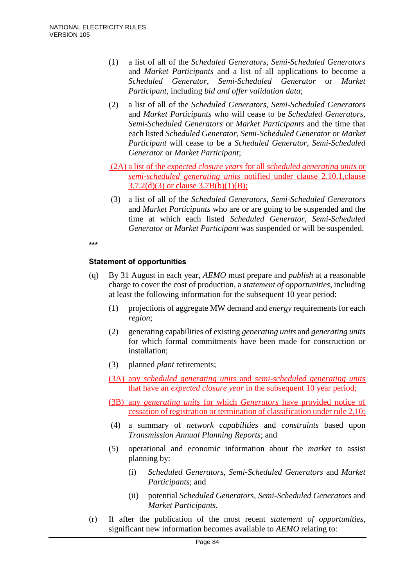- (1) a list of all of the *Scheduled Generators*, *Semi-Scheduled Generators* and *Market Participants* and a list of all applications to become a *Scheduled Generator*, *Semi-Scheduled Generator* or *Market Participant*, including *bid and offer validation data*;
- (2) a list of all of the *Scheduled Generators*, *Semi-Scheduled Generators* and *Market Participants* who will cease to be *Scheduled Generators*, *Semi-Scheduled Generators* or *Market Participants* and the time that each listed *Scheduled Generator*, *Semi-Scheduled Generator* or *Market Participant* will cease to be a *Scheduled Generator*, *Semi-Scheduled Generator* or *Market Participant*;
- (2A) a list of the *expected closure years* for all *scheduled generating units* or *semi-scheduled generating units* notified under clause 2.10.1,clause  $3.7.2(d)(3)$  or clause  $3.7B(b)(1)(B);$
- (3) a list of all of the *Scheduled Generators*, *Semi-Scheduled Generators* and *Market Participants* who are or are going to be suspended and the time at which each listed *Scheduled Generator*, *Semi-Scheduled Generator* or *Market Participant* was suspended or will be suspended.

**\*\*\***

### **Statement of opportunities**

- (q) By 31 August in each year, *AEMO* must prepare and *publish* at a reasonable charge to cover the cost of production, a *statement of opportunities*, including at least the following information for the subsequent 10 year period:
	- (1) projections of aggregate MW demand and *energy* requirements for each *region*;
	- (2) generating capabilities of existing *generating units* and *generating units* for which formal commitments have been made for construction or installation;
	- (3) planned *plant* retirements;
	- (3A) any *scheduled generating units* and *semi-scheduled generating units*  that have an *expected closure year* in the subsequent 10 year period;
	- (3B) any *generating units* for which *Generators* have provided notice of cessation of registration or termination of classification under rule 2.10;
	- (4) a summary of *network capabilities* and *constraints* based upon *Transmission Annual Planning Reports*; and
	- (5) operational and economic information about the *market* to assist planning by:
		- (i) *Scheduled Generators*, *Semi-Scheduled Generators* and *Market Participants*; and
		- (ii) potential *Scheduled Generators*, *Semi-Scheduled Generators* and *Market Participants*.
- (r) If after the publication of the most recent *statement of opportunities*, significant new information becomes available to *AEMO* relating to: